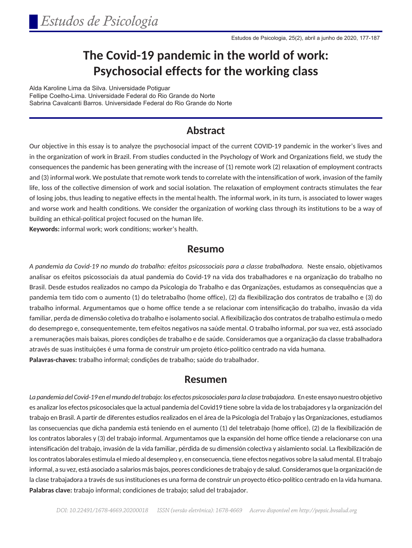# **The Covid-19 pandemic in the world of work: Psychosocial effects for the working class**

Alda Karoline Lima da Silva. Universidade Potiguar Fellipe Coelho-Lima. Universidade Federal do Rio Grande do Norte Sabrina Cavalcanti Barros. Universidade Federal do Rio Grande do Norte

### **Abstract**

Our objective in this essay is to analyze the psychosocial impact of the current COVID-19 pandemic in the worker's lives and in the organization of work in Brazil. From studies conducted in the Psychology of Work and Organizations field, we study the consequences the pandemic has been generating with the increase of (1) remote work (2) relaxation of employment contracts and (3) informal work. We postulate that remote work tends to correlate with the intensification of work, invasion of the family life, loss of the collective dimension of work and social isolation. The relaxation of employment contracts stimulates the fear of losing jobs, thus leading to negative effects in the mental health. The informal work, in its turn, is associated to lower wages and worse work and health conditions. We consider the organization of working class through its institutions to be a way of building an ethical-political project focused on the human life.

**Keywords:** informal work; work conditions; worker's health.

#### **Resumo**

*A pandemia da Covid-19 no mundo do trabalho: efeitos psicossociais para a classe trabalhadora.* Neste ensaio, objetivamos analisar os efeitos psicossociais da atual pandemia do Covid-19 na vida dos trabalhadores e na organização do trabalho no Brasil. Desde estudos realizados no campo da Psicologia do Trabalho e das Organizações, estudamos as consequências que a pandemia tem tido com o aumento (1) do teletrabalho (home office), (2) da flexibilização dos contratos de trabalho e (3) do trabalho informal. Argumentamos que o home office tende a se relacionar com intensificação do trabalho, invasão da vida familiar, perda de dimensão coletiva do trabalho e isolamento social. A flexibilização dos contratos de trabalho estimula o medo do desemprego e, consequentemente, tem efeitos negativos na saúde mental. O trabalho informal, por sua vez, está associado a remunerações mais baixas, piores condições de trabalho e de saúde. Consideramos que a organização da classe trabalhadora através de suas instituições é uma forma de construir um projeto ético-político centrado na vida humana. **Palavras-chaves:** trabalho informal; condições de trabalho; saúde do trabalhador.

#### **Resumen**

La pandemia del Covid-19 en el mundo del trabajo: los efectos psicosociales para la clase trabajadora. En este ensayo nuestro objetivo es analizar los efectos psicosociales que la actual pandemia del Covid19 tiene sobre la vida de los trabajadores y la organización del trabajo en Brasil. A partir de diferentes estudios realizados en el área de la Psicología del Trabajo y las Organizaciones, estudiamos las consecuencias que dicha pandemia está teniendo en el aumento (1) del teletrabajo (home office), (2) de la flexibilización de los contratos laborales y (3) del trabajo informal. Argumentamos que la expansión del home office tiende a relacionarse con una intensificación del trabajo, invasión de la vida familiar, pérdida de su dimensión colectiva y aislamiento social. La flexibilización de los contratos laborales estimula el miedo al desempleo y, en consecuencia, tiene efectos negativos sobre la salud mental. El trabajo informal, a su vez, está asociado a salarios más bajos, peores condiciones de trabajo y de salud. Consideramos que la organización de la clase trabajadora a través de sus instituciones es una forma de construir un proyecto ético-político centrado en la vida humana. **Palabras clave:** trabajo informal; condiciones de trabajo; salud del trabajador.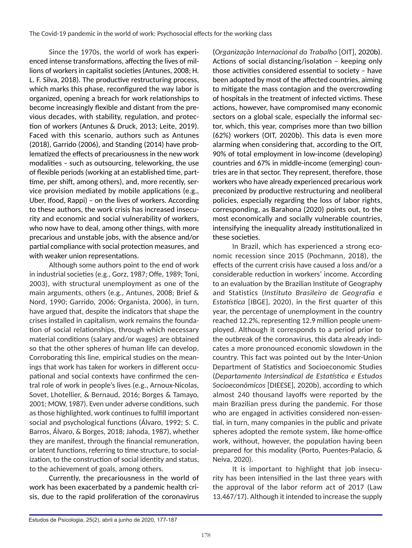Since the 1970s, the world of work has experienced intense transformations, affecting the lives of millions of workers in capitalist societies (Antunes, 2008; H. L. F. Silva, 2018). The productive restructuring process, which marks this phase, reconfigured the way labor is organized, opening a breach for work relationships to become increasingly flexible and distant from the previous decades, with stability, regulation, and protection of workers (Antunes & Druck, 2013; Leite, 2019). Faced with this scenario, authors such as Antunes (2018), Garrido (2006), and Standing (2014) have problematized the effects of precariousness in the new work modalities – such as outsourcing, teleworking, the use of flexible periods (working at an established time, parttime, per shift, among others), and, more recently, service provision mediated by mobile applications (e.g., Uber, Ifood, Rappi) – on the lives of workers. According to these authors, the work crisis has increased insecurity and economic and social vulnerability of workers, who now have to deal, among other things, with more precarious and unstable jobs, with the absence and/or partial compliance with social protection measures, and with weaker union representations.

Although some authors point to the end of work in industrial societies (e.g., Gorz, 1987; Offe, 1989; Toni, 2003), with structural unemployment as one of the main arguments, others (e.g., Antunes, 2008; Brief & Nord, 1990; Garrido, 2006; Organista, 2006), in turn, have argued that, despite the indicators that shape the crises installed in capitalism, work remains the foundation of social relationships, through which necessary material conditions (salary and/or wages) are obtained so that the other spheres of human life can develop. Corroborating this line, empirical studies on the meanings that work has taken for workers in different occupational and social contexts have confirmed the central role of work in people's lives (e.g., Arnoux-Nicolas, Sovet, Lhotellier, & Bernaud, 2016; Borges & Tamayo, 2001; MOW, 1987). Even under adverse conditions, such as those highlighted, work continues to fulfill important social and psychological functions (Álvaro, 1992; S. C. Barros, Álvaro, & Borges, 2018; Jahoda, 1987), whether they are manifest, through the financial remuneration, or latent functions, referring to time structure, to socialization, to the construction of social identity and status, to the achievement of goals, among others.

Currently, the precariousness in the world of work has been exacerbated by a pandemic health crisis, due to the rapid proliferation of the coronavirus

(*Organização Internacional do Trabalho* [OIT], 2020b). Actions of social distancing/isolation – keeping only those activities considered essential to society – have been adopted by most of the affected countries, aiming to mitigate the mass contagion and the overcrowding of hospitals in the treatment of infected victims. These actions, however, have compromised many economic sectors on a global scale, especially the informal sector, which, this year, comprises more than two billion (62%) workers (OIT, 2020b). This data is even more alarming when considering that, according to the OIT, 90% of total employment in low-income (developing) countries and 67% in middle-income (emerging) countries are in that sector. They represent, therefore, those workers who have already experienced precarious work preconized by productive restructuring and neoliberal policies, especially regarding the loss of labor rights, corresponding, as Barahona (2020) points out, to the most economically and socially vulnerable countries, intensifying the inequality already institutionalized in these societies.

In Brazil, which has experienced a strong economic recession since 2015 (Pochmann, 2018), the effects of the current crisis have caused a loss and/or a considerable reduction in workers' income. According to an evaluation by the Brazilian Institute of Geography and Statistics (*Instituto Brasileiro de Geografia e Estatística* [IBGE], 2020), in the first quarter of this year, the percentage of unemployment in the country reached 12.2%, representing 12.9 million people unemployed. Although it corresponds to a period prior to the outbreak of the coronavirus, this data already indicates a more pronounced economic slowdown in the country. This fact was pointed out by the Inter-Union Department of Statistics and Socioeconomic Studies (*Departamento Intersindical de Estatística e Estudos Socioeconômicos* [DIEESE], 2020b), according to which almost 240 thousand layoffs were reported by the main Brazilian press during the pandemic. For those who are engaged in activities considered non-essential, in turn, many companies in the public and private spheres adopted the remote system, like home-office work, without, however, the population having been prepared for this modality (Porto, Puentes-Palacio, & Neiva, 2020).

It is important to highlight that job insecurity has been intensified in the last three years with the approval of the labor reform act of 2017 (Law 13.467/17). Although it intended to increase the supply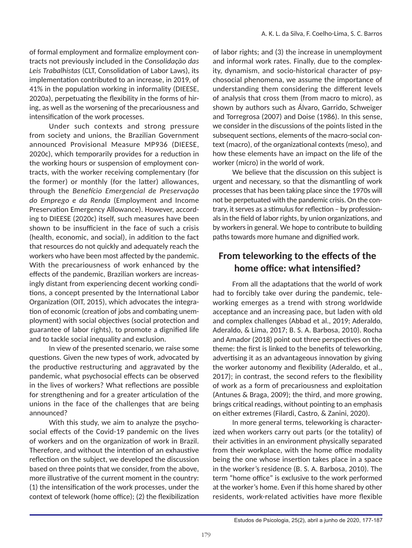of formal employment and formalize employment contracts not previously included in the *Consolidação das Leis Trabalhistas* (CLT, Consolidation of Labor Laws), its implementation contributed to an increase, in 2019, of 41% in the population working in informality (DIEESE, 2020a), perpetuating the flexibility in the forms of hiring, as well as the worsening of the precariousness and intensification of the work processes.

Under such contexts and strong pressure from society and unions, the Brazilian Government announced Provisional Measure MP936 (DIEESE, 2020c), which temporarily provides for a reduction in the working hours or suspension of employment contracts, with the worker receiving complementary (for the former) or monthly (for the latter) allowances, through the *Benefício Emergencial de Preservação do Emprego e da Renda* (Employment and Income Preservation Emergency Allowance). However, according to DIEESE (2020c) itself, such measures have been shown to be insufficient in the face of such a crisis (health, economic, and social), in addition to the fact that resources do not quickly and adequately reach the workers who have been most affected by the pandemic. With the precariousness of work enhanced by the effects of the pandemic, Brazilian workers are increasingly distant from experiencing decent working conditions, a concept presented by the International Labor Organization (OIT, 2015), which advocates the integration of economic (creation of jobs and combating unemployment) with social objectives (social protection and guarantee of labor rights), to promote a dignified life and to tackle social inequality and exclusion.

In view of the presented scenario, we raise some questions. Given the new types of work, advocated by the productive restructuring and aggravated by the pandemic, what psychosocial effects can be observed in the lives of workers? What reflections are possible for strengthening and for a greater articulation of the unions in the face of the challenges that are being announced?

With this study, we aim to analyze the psychosocial effects of the Covid-19 pandemic on the lives of workers and on the organization of work in Brazil. Therefore, and without the intention of an exhaustive reflection on the subject, we developed the discussion based on three points that we consider, from the above, more illustrative of the current moment in the country: (1) the intensification of the work processes, under the context of telework (home office); (2) the flexibilization

of labor rights; and (3) the increase in unemployment and informal work rates. Finally, due to the complexity, dynamism, and socio-historical character of psychosocial phenomena, we assume the importance of understanding them considering the different levels of analysis that cross them (from macro to micro), as shown by authors such as Álvaro, Garrido, Schweiger and Torregrosa (2007) and Doise (1986). In this sense, we consider in the discussions of the points listed in the subsequent sections, elements of the macro-social context (macro), of the organizational contexts (meso), and how these elements have an impact on the life of the worker (micro) in the world of work.

We believe that the discussion on this subject is urgent and necessary, so that the dismantling of work processes that has been taking place since the 1970s will not be perpetuated with the pandemic crisis. On the contrary, it serves as a stimulus for reflection – by professionals in the field of labor rights, by union organizations, and by workers in general. We hope to contribute to building paths towards more humane and dignified work.

### **From teleworking to the effects of the home office: what intensified?**

From all the adaptations that the world of work had to forcibly take over during the pandemic, teleworking emerges as a trend with strong worldwide acceptance and an increasing pace, but laden with old and complex challenges (Abbad et al., 2019; Aderaldo, Aderaldo, & Lima, 2017; B. S. A. Barbosa, 2010). Rocha and Amador (2018) point out three perspectives on the theme: the first is linked to the benefits of teleworking, advertising it as an advantageous innovation by giving the worker autonomy and flexibility (Aderaldo, et al., 2017); in contrast, the second refers to the flexibility of work as a form of precariousness and exploitation (Antunes & Braga, 2009); the third, and more growing, brings critical readings, without pointing to an emphasis on either extremes (Filardi, Castro, & Zanini, 2020).

In more general terms, teleworking is characterized when workers carry out parts (or the totality) of their activities in an environment physically separated from their workplace, with the home office modality being the one whose insertion takes place in a space in the worker's residence (B. S. A. Barbosa, 2010). The term "home office" is exclusive to the work performed at the worker's home. Even if this home shared by other residents, work-related activities have more flexible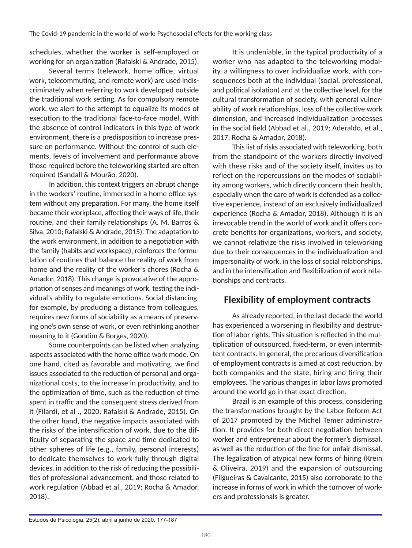schedules, whether the worker is self-employed or working for an organization (Rafalski & Andrade, 2015).

Several terms (telework, home office, virtual work, telecommuting, and remote work) are used indiscriminately when referring to work developed outside the traditional work setting. As for compulsory remote work, we alert to the attempt to equalize its modes of execution to the traditional face-to-face model. With the absence of control indicators in this type of work environment, there is a predisposition to increase pressure on performance. Without the control of such elements, levels of involvement and performance above those required before the teleworking started are often required (Sandall & Mourão, 2020).

In addition, this context triggers an abrupt change in the workers' routine, immersed in a home office system without any preparation. For many, the home itself became their workplace, affecting their ways of life, their routine, and their family relationships (A. M. Barros & Silva, 2010; Rafalski & Andrade, 2015). The adaptation to the work environment, in addition to a negotiation with the family (habits and workspace), reinforces the formulation of routines that balance the reality of work from home and the reality of the worker's chores (Rocha & Amador, 2018). This change is provocative of the appropriation of senses and meanings of work, testing the individual's ability to regulate emotions. Social distancing, for example, by producing a distance from colleagues, requires new forms of sociability as a means of preserving one's own sense of work, or even rethinking another meaning to it (Gondim & Borges, 2020).

Some counterpoints can be listed when analyzing aspects associated with the home office work mode. On one hand, cited as favorable and motivating, we find issues associated to the reduction of personal and organizational costs, to the increase in productivity, and to the optimization of time, such as the reduction of time spent in traffic and the consequent stress derived from it (Filardi, et al ., 2020; Rafalski & Andrade, 2015). On the other hand, the negative impacts associated with the risks of the intensification of work, due to the difficulty of separating the space and time dedicated to other spheres of life (e.g., family, personal interests) to dedicate themselves to work fully through digital devices, in addition to the risk of reducing the possibilities of professional advancement, and those related to work regulation (Abbad et al., 2019; Rocha & Amador, 2018).

It is undeniable, in the typical productivity of a worker who has adapted to the teleworking modality, a willingness to over individualize work, with consequences both at the individual (social, professional, and political isolation) and at the collective level, for the cultural transformation of society, with general vulnerability of work relationships, loss of the collective work dimension, and increased individualization processes in the social field (Abbad et al., 2019; Aderaldo, et al., 2017; Rocha & Amador, 2018).

This list of risks associated with teleworking, both from the standpoint of the workers directly involved with these risks and of the society itself, invites us to reflect on the repercussions on the modes of sociability among workers, which directly concern their health, especially when the care of work is defended as a collective experience, instead of an exclusively individualized experience (Rocha & Amador, 2018). Although it is an irrevocable trend in the world of work and it offers concrete benefits for organizations, workers, and society, we cannot relativize the risks involved in teleworking due to their consequences in the individualization and impersonality of work, in the loss of social relationships, and in the intensification and flexibilization of work relationships and contracts.

#### **Flexibility of employment contracts**

As already reported, in the last decade the world has experienced a worsening in flexibility and destruction of labor rights. This situation is reflected in the multiplication of outsourced, fixed-term, or even intermittent contracts. In general, the precarious diversification of employment contracts is aimed at cost reduction, by both companies and the state, hiring and firing their employees. The various changes in labor laws promoted around the world go in that exact direction.

Brazil is an example of this process, considering the transformations brought by the Labor Reform Act of 2017 promoted by the Michel Temer administration. It provides for both direct negotiation between worker and entrepreneur about the former's dismissal, as well as the reduction of the fine for unfair dismissal. The legalization of atypical new forms of hiring (Krein & Oliveira, 2019) and the expansion of outsourcing (Filgueiras & Cavalcante, 2015) also corroborate to the increase in forms of work in which the turnover of workers and professionals is greater.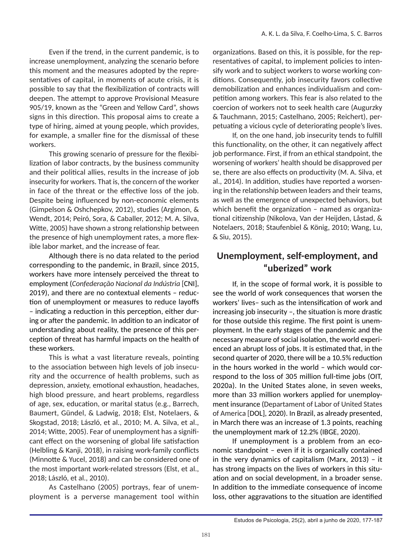Even if the trend, in the current pandemic, is to increase unemployment, analyzing the scenario before this moment and the measures adopted by the representatives of capital, in moments of acute crisis, it is possible to say that the flexibilization of contracts will deepen. The attempt to approve Provisional Measure 905/19, known as the "Green and Yellow Card", shows signs in this direction. This proposal aims to create a type of hiring, aimed at young people, which provides, for example, a smaller fine for the dismissal of these workers.

This growing scenario of pressure for the flexibilization of labor contracts, by the business community and their political allies, results in the increase of job insecurity for workers. That is, the concern of the worker in face of the threat or the effective loss of the job. Despite being influenced by non-economic elements (Gimpelson & Oshchepkov, 2012), studies (Argimon, & Wendt, 2014; Peiró, Sora, & Caballer, 2012; M. A. Silva, Witte, 2005) have shown a strong relationship between the presence of high unemployment rates, a more flexible labor market, and the increase of fear.

Although there is no data related to the period corresponding to the pandemic, in Brazil, since 2015, workers have more intensely perceived the threat to employment (*Confederação Nacional da Indústria* [CNI], 2019), and there are no contextual elements – reduction of unemployment or measures to reduce layoffs – indicating a reduction in this perception, either during or after the pandemic. In addition to an indicator of understanding about reality, the presence of this perception of threat has harmful impacts on the health of these workers.

This is what a vast literature reveals, pointing to the association between high levels of job insecurity and the occurrence of health problems, such as depression, anxiety, emotional exhaustion, headaches, high blood pressure, and heart problems, regardless of age, sex, education, or marital status (e.g., Barrech, Baumert, Gündel, & Ladwig, 2018; Elst, Notelaers, & Skogstad, 2018; László, et al., 2010; M. A. Silva, et al., 2014; Witte, 2005). Fear of unemployment has a significant effect on the worsening of global life satisfaction (Helbling & Kanji, 2018), in raising work-family conflicts (Minnotte & Yucel, 2018) and can be considered one of the most important work-related stressors (Elst, et al., 2018; László, et al., 2010).

As Castelhano (2005) portrays, fear of unemployment is a perverse management tool within organizations. Based on this, it is possible, for the representatives of capital, to implement policies to intensify work and to subject workers to worse working conditions. Consequently, job insecurity favors collective demobilization and enhances individualism and competition among workers. This fear is also related to the coercion of workers not to seek health care (Augurzky & Tauchmann, 2015; Castelhano, 2005; Reichert), perpetuating a vicious cycle of deteriorating people's lives.

If, on the one hand, job insecurity tends to fulfill this functionality, on the other, it can negatively affect job performance. First, if from an ethical standpoint, the worsening of workers' health should be disapproved per se, there are also effects on productivity (M. A. Silva, et al., 2014). In addition, studies have reported a worsening in the relationship between leaders and their teams, as well as the emergence of unexpected behaviors, but which benefit the organization – named as organizational citizenship (Nikolova, Van der Heijden, Låstad, & Notelaers, 2018; Staufenbiel & König, 2010; Wang, Lu, & Siu, 2015).

#### **Unemployment, self-employment, and "uberized" work**

If, in the scope of formal work, it is possible to see the world of work consequences that worsen the workers' lives– such as the intensification of work and increasing job insecurity –, the situation is more drastic for those outside this regime. The first point is unemployment. In the early stages of the pandemic and the necessary measure of social isolation, the world experienced an abrupt loss of jobs. It is estimated that, in the second quarter of 2020, there will be a 10.5% reduction in the hours worked in the world – which would correspond to the loss of 305 million full-time jobs (OIT, 2020a). In the United States alone, in seven weeks, more than 33 million workers applied for unemployment insurance (Departament of Labor of United States of America [DOL], 2020). In Brazil, as already presented, in March there was an increase of 1.3 points, reaching the unemployment mark of 12.2% (IBGE, 2020).

If unemployment is a problem from an economic standpoint – even if it is organically contained in the very dynamics of capitalism (Marx, 2013) – it has strong impacts on the lives of workers in this situation and on social development, in a broader sense. In addition to the immediate consequence of income loss, other aggravations to the situation are identified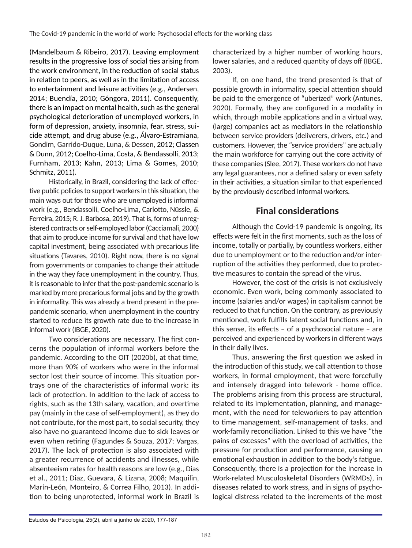(Mandelbaum & Ribeiro, 2017). Leaving employment results in the progressive loss of social ties arising from the work environment, in the reduction of social status in relation to peers, as well as in the limitation of access to entertainment and leisure activities (e.g., Andersen, 2014; Buendía, 2010; Góngora, 2011). Consequently, there is an impact on mental health, such as the general psychological deterioration of unemployed workers, in form of depression, anxiety, insomnia, fear, stress, suicide attempt, and drug abuse (e.g., Álvaro-Estramiana, Gondim, Garrido-Duque, Luna, & Dessen, 2012; Classen & Dunn, 2012; Coelho-Lima, Costa, & Bendassolli, 2013; Furnham, 2013; Kahn, 2013; Lima & Gomes, 2010; Schmitz, 2011).

Historically, in Brazil, considering the lack of effective public policies to support workers in this situation, the main ways out for those who are unemployed is informal work (e.g., Bendassolli, Coelho-Lima, Carlotto, Nüssle, & Ferreira, 2015; R. J. Barbosa, 2019). That is, forms of unregistered contracts or self-employed labor (Cacciamali, 2000) that aim to produce income for survival and that have low capital investment, being associated with precarious life situations (Tavares, 2010). Right now, there is no signal from governments or companies to change their attitude in the way they face unemployment in the country. Thus, it is reasonable to infer that the post-pandemic scenario is marked by more precarious formal jobs and by the growth in informality. This was already a trend present in the prepandemic scenario, when unemployment in the country started to reduce its growth rate due to the increase in informal work (IBGE, 2020).

Two considerations are necessary. The first concerns the population of informal workers before the pandemic. According to the OIT (2020b), at that time, more than 90% of workers who were in the informal sector lost their source of income. This situation portrays one of the characteristics of informal work: its lack of protection. In addition to the lack of access to rights, such as the 13th salary, vacation, and overtime pay (mainly in the case of self-employment), as they do not contribute, for the most part, to social security, they also have no guaranteed income due to sick leaves or even when retiring (Fagundes & Souza, 2017; Vargas, 2017). The lack of protection is also associated with a greater recurrence of accidents and illnesses, while absenteeism rates for health reasons are low (e.g., Dias et al., 2011; Diaz, Guevara, & Lizana, 2008; Maquilin, Marín-León, Monteiro, & Correa Filho, 2013). In addition to being unprotected, informal work in Brazil is

characterized by a higher number of working hours, lower salaries, and a reduced quantity of days off (IBGE, 2003).

If, on one hand, the trend presented is that of possible growth in informality, special attention should be paid to the emergence of "uberized" work (Antunes, 2020). Formally, they are configured in a modality in which, through mobile applications and in a virtual way, (large) companies act as mediators in the relationship between service providers (deliverers, drivers, etc.) and customers. However, the "service providers" are actually the main workforce for carrying out the core activity of these companies (Slee, 2017). These workers do not have any legal guarantees, nor a defined salary or even safety in their activities, a situation similar to that experienced by the previously described informal workers.

## **Final considerations**

Although the Covid-19 pandemic is ongoing, its effects were felt in the first moments, such as the loss of income, totally or partially, by countless workers, either due to unemployment or to the reduction and/or interruption of the activities they performed, due to protective measures to contain the spread of the virus.

However, the cost of the crisis is not exclusively economic. Even work, being commonly associated to income (salaries and/or wages) in capitalism cannot be reduced to that function. On the contrary, as previously mentioned, work fulfills latent social functions and, in this sense, its effects – of a psychosocial nature – are perceived and experienced by workers in different ways in their daily lives.

Thus, answering the first question we asked in the introduction of this study, we call attention to those workers, in formal employment, that were forcefully and intensely dragged into telework - home office. The problems arising from this process are structural, related to its implementation, planning, and management, with the need for teleworkers to pay attention to time management, self-management of tasks, and work-family reconciliation. Linked to this we have "the pains of excesses" with the overload of activities, the pressure for production and performance, causing an emotional exhaustion in addition to the body's fatigue. Consequently, there is a projection for the increase in Work-related Musculoskeletal Disorders (WRMDs), in diseases related to work stress, and in signs of psychological distress related to the increments of the most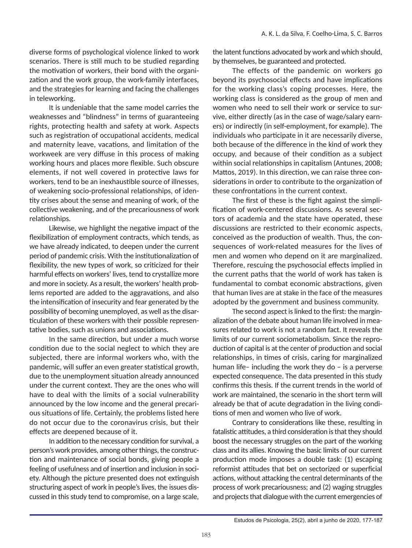diverse forms of psychological violence linked to work scenarios. There is still much to be studied regarding the motivation of workers, their bond with the organization and the work group, the work-family interfaces, and the strategies for learning and facing the challenges in teleworking.

It is undeniable that the same model carries the weaknesses and "blindness" in terms of guaranteeing rights, protecting health and safety at work. Aspects such as registration of occupational accidents, medical and maternity leave, vacations, and limitation of the workweek are very diffuse in this process of making working hours and places more flexible. Such obscure elements, if not well covered in protective laws for workers, tend to be an inexhaustible source of illnesses, of weakening socio-professional relationships, of identity crises about the sense and meaning of work, of the collective weakening, and of the precariousness of work relationships.

Likewise, we highlight the negative impact of the flexibilization of employment contracts, which tends, as we have already indicated, to deepen under the current period of pandemic crisis. With the institutionalization of flexibility, the new types of work, so criticized for their harmful effects on workers' lives, tend to crystallize more and more in society. As a result, the workers' health problems reported are added to the aggravations, and also the intensification of insecurity and fear generated by the possibility of becoming unemployed, as well as the disarticulation of these workers with their possible representative bodies, such as unions and associations.

In the same direction, but under a much worse condition due to the social neglect to which they are subjected, there are informal workers who, with the pandemic, will suffer an even greater statistical growth, due to the unemployment situation already announced under the current context. They are the ones who will have to deal with the limits of a social vulnerability announced by the low income and the general precarious situations of life. Certainly, the problems listed here do not occur due to the coronavirus crisis, but their effects are deepened because of it.

In addition to the necessary condition for survival, a person's work provides, among other things, the construction and maintenance of social bonds, giving people a feeling of usefulness and of insertion and inclusion in society. Although the picture presented does not extinguish structuring aspect of work in people's lives, the issues discussed in this study tend to compromise, on a large scale,

the latent functions advocated by work and which should, by themselves, be guaranteed and protected.

The effects of the pandemic on workers go beyond its psychosocial effects and have implications for the working class's coping processes. Here, the working class is considered as the group of men and women who need to sell their work or service to survive, either directly (as in the case of wage/salary earners) or indirectly (in self-employment, for example). The individuals who participate in it are necessarily diverse, both because of the difference in the kind of work they occupy, and because of their condition as a subject within social relationships in capitalism (Antunes, 2008; Mattos, 2019). In this direction, we can raise three considerations in order to contribute to the organization of these confrontations in the current context.

The first of these is the fight against the simplification of work-centered discussions. As several sectors of academia and the state have operated, these discussions are restricted to their economic aspects, conceived as the production of wealth. Thus, the consequences of work-related measures for the lives of men and women who depend on it are marginalized. Therefore, rescuing the psychosocial effects implied in the current paths that the world of work has taken is fundamental to combat economic abstractions, given that human lives are at stake in the face of the measures adopted by the government and business community.

The second aspect is linked to the first: the marginalization of the debate about human life involved in measures related to work is not a random fact. It reveals the limits of our current sociometabolism. Since the reproduction of capital is at the center of production and social relationships, in times of crisis, caring for marginalized human life– including the work they do – is a perverse expected consequence. The data presented in this study confirms this thesis. If the current trends in the world of work are maintained, the scenario in the short term will already be that of acute degradation in the living conditions of men and women who live of work.

Contrary to considerations like these, resulting in fatalistic attitudes, a third consideration is that they should boost the necessary struggles on the part of the working class and its allies. Knowing the basic limits of our current production mode imposes a double task: (1) escaping reformist attitudes that bet on sectorized or superficial actions, without attacking the central determinants of the process of work precariousness; and (2) waging struggles and projects that dialogue with the current emergencies of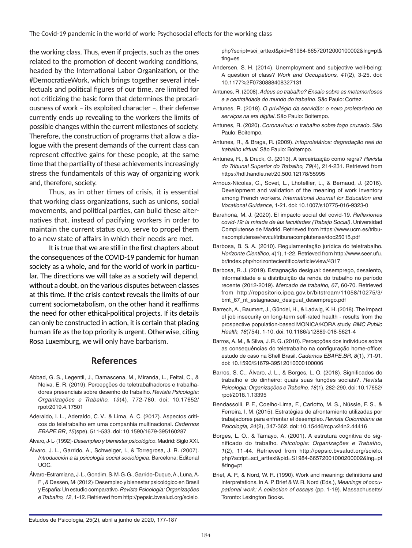The Covid-19 pandemic in the world of work: Psychosocial effects for the working class

the working class. Thus, even if projects, such as the ones related to the promotion of decent working conditions, headed by the International Labor Organization, or the #DemocratizeWork, which brings together several intellectuals and political figures of our time, are limited for not criticizing the basic form that determines the precariousness of work – its exploited character –, their defense currently ends up revealing to the workers the limits of possible changes within the current milestones of society. Therefore, the construction of programs that allow a dialogue with the present demands of the current class can represent effective gains for these people, at the same time that the partiality of these achievements increasingly stress the fundamentals of this way of organizing work and, therefore, society.

Thus, as in other times of crisis, it is essential that working class organizations, such as unions, social movements, and political parties, can build these alternatives that, instead of pacifying workers in order to maintain the current status quo, serve to propel them to a new state of affairs in which their needs are met.

It is true that we are still in the first chapters about the consequences of the COVID-19 pandemic for human society as a whole, and for the world of work in particular. The directions we will take as a society will depend, without a doubt, on the various disputes between classes at this time. If the crisis context reveals the limits of our current sociometabolism, on the other hand it reaffirms the need for other ethical-political projects. If its details can only be constructed in action, it is certain that placing human life as the top priority is urgent. Otherwise, citing Rosa Luxemburg, we will only have barbarism.

#### **References**

- Abbad, G. S., Legentil, J., Damascena, M., Miranda, L., Feital, C., & Neiva, E. R. (2019). Percepções de teletrabalhadores e trabalhadores presenciais sobre desenho do trabalho. *Revista Psicologia: Organizações e Trabalho, 19*(4), 772-780. doi: 10.17652/ rpot/2019.4.17501
- Aderaldo, I. L., Aderaldo, C. V., & Lima, A. C. (2017). Aspectos críticos do teletrabalho em uma companhia multinacional. *Cadernos EBAPE.BR*, *15*(spe), 511-533. doi: 10.1590/1679-395160287
- Álvaro, J. L. (1992). *Desempleo y bienestar psicológico*. Madrid: Siglo XXI.
- Álvaro, J. L., Garrido, A., Schweiger, I., & Torregrosa, J. R. (2007). *Introducción a la psicología social sociológica*. Barcelona: Editorial UOC.
- Álvaro-Estramiana, J. L., Gondim, S. M. G. G., Garrido-Duque, A., Luna, A. F., & Dessen, M. (2012). Desempleo y bienestar psicológico en Brasil y España: Un estudio comparativo. *Revista Psicologia: Organizações e Trabalho, 12*, 1-12. Retrieved from http://pepsic.bvsalud.org/scielo.

php?script=sci\_arttext&pid=S1984-66572012000100002&lng=pt& tlng=es

- Andersen, S. H. (2014). Unemployment and subjective well-being: A question of class? *Work and Occupations, 41*(2), 3-25. doi: 10.1177%2F0730888408327131
- Antunes, R. (2008). *Adeus ao trabalho? Ensaio sobre as metamorfoses e a centralidade do mundo do trabalho*. São Paulo: Cortez.
- Antunes, R. (2018). *O privilégio da servidão: o novo proletariado de serviços na era digital*. São Paulo: Boitempo.
- Antunes, R. (2020). *Coronavírus: o trabalho sobre fogo cruzado*. São Paulo: Boitempo.
- Antunes, R., & Braga, R. (2009). *Infoproletários: degradação real do trabalho virtual*. São Paulo: Boitempo.
- Antunes, R., & Druck, G. (2013). A terceirização como regra? *Revista do Tribunal Superior do Trabalho, 79*(4), 214-231. Retrieved from https://hdl.handle.net/20.500.12178/55995
- Arnoux-Nicolas, C., Sovet, L., Lhotellier, L., & Bernaud, J. (2016). Development and validation of the meaning of work inventory among French workers. *International Journal for Education and Vocational Guidance*, 1-21. doi: 10.1007/s10775-016-9323-0
- Barahona, M. J. (2020). El impacto social del covid-19. *Reflexiones covid-19: la mirada de las facultades (Trabajo Social)*. Universidad Complutense de Madrid. Retrieved from https://www.ucm.es/tribunacomplutense/revcul/tribunacomplutense/doc25015.pdf
- Barbosa, B. S. A. (2010). Regulamentação jurídica do teletrabalho. *Horizonte Científico, 4*(1), 1-22. Retrieved from http://www.seer.ufu. br/index.php/horizontecientifico/article/view/4317
- Barbosa, R. J. (2019). Estagnação desigual: desemprego, desalento, informalidade e a distribuição da renda do trabalho no período recente (2012-2019). *Mercado de trabalho, 67*, 60-70. Retrieved from http://repositorio.ipea.gov.br/bitstream/11058/10275/3/ bmt\_67\_nt\_estagnacao\_desigual\_desemprego.pdf
- Barrech, A., Baumert, J., Gündel, H., & Ladwig, K. H. (2018). The impact of job insecurity on long-term self-rated health - results from the prospective population-based MONICA/KORA study. *BMC Public Health, 18*(754), 1-10. doi: 10.1186/s12889-018-5621-4
- Barros, A. M., & Silva, J. R. G. (2010). Percepções dos indivíduos sobre as consequências do teletrabalho na configuração home-office: estudo de caso na Shell Brasil. *Cadernos EBAPE.BR, 8*(1), 71-91. doi: 10.1590/S1679-39512010000100006
- Barros, S. C., Álvaro, J. L., & Borges, L. O. (2018). Significados do trabalho e do dinheiro: quais suas funções sociais?. *Revista Psicologia: Organizações e Trabalho, 18*(1), 282-290. doi: 10.17652/ rpot/2018.1.13395
- Bendassolli, P. F., Coelho-Lima, F., Carlotto, M. S., Nüssle, F. S., & Ferreira, I. M. (2015). Estratégias de afrontamiento utilizadas por trabajadores para enfrentar el desempleo. *Revista Colombiana de Psicología, 24*(2), 347-362. doi: 10.15446/rcp.v24n2.44416
- Borges, L. O., & Tamayo, A. (2001). A estrutura cognitiva do significado do trabalho. *Psicologia: Organizações e Trabalho*, *1*(2), 11-44. Retrieved from http://pepsic.bvsalud.org/scielo. php?script=sci\_arttext&pid=S1984-66572001000200002&lng=pt &tlng=pt
- Brief, A. P., & Nord, W. R. (1990). Work and meaning: definitions and interpretations. In A. P. Brief & W. R. Nord (Eds.), *Meanings of occupational work: A collection of essays* (pp. 1-19). Massachusetts/ Toronto: Lexington Books.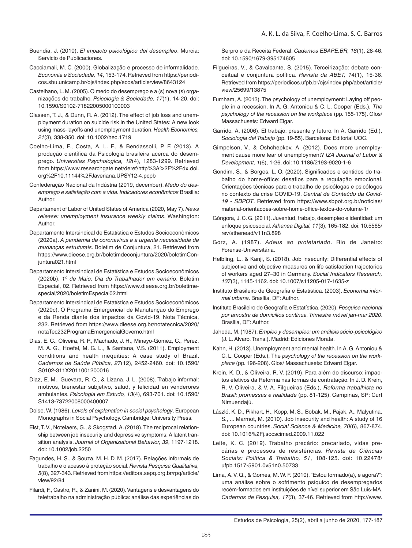- Buendía, J. (2010). *El impacto psicológico del desempleo*. Murcia: Servicio de Publicaciones.
- Cacciamali, M. C. (2000). Globalização e processo de informalidade. *Economia e Sociedade, 14*, 153-174. Retrieved from https://periodicos.sbu.unicamp.br/ojs/index.php/ecos/article/view/8643124
- Castelhano, L. M. (2005). O medo do desemprego e a (s) nova (s) organizações de trabalho. *Psicologia & Sociedade, 17*(1), 14-20. doi: 10.1590/S0102-71822005000100003
- Classen, T. J., & Dunn, R. A. (2012). The effect of job loss and unemployment duration on suicide risk in the United States: A new look using mass-layoffs and unemployment duration. *Health Economics, 21*(3), 338-350. doi: 10.1002/hec.1719
- Coelho-Lima, F., Costa, A. L. F., & Bendassolli, P. F. (2013). A produção científica da Psicologia brasileira acerca do desemprego. *Universitas Psychologica, 12*(4), 1283-1299. Retrieved from https://www.researchgate.net/deref/http%3A%2F%2Fdx.doi. org%2F10.11144%2FJaveriana.UPSY12-4.pcpb
- Confederação Nacional da Indústria (2019, december). *Medo do desemprego e satisfação com a vida. Indicadores econômicos* Brasília: Author.
- Departament of Labor of United States of America (2020, May 7). *News release: unemployment insurance weekly claims*. Washington: Author.
- Departamento Intersindical de Estatística e Estudos Socioeconômicos (2020a). *A pandemia de coronavírus e a urgente necessidade de mudanças estruturais*. Boletim de Conjuntura, 21. Retrieved from https://www.dieese.org.br/boletimdeconjuntura/2020/boletimConjuntura021.html
- Departamento Intersindical de Estatística e Estudos Socioeconômicos (2020b). *1º de Maio: Dia do Trabalhador em cenário*. Boletim Especial, 02. Retrieved from https://www.dieese.org.br/boletimespecial/2020/boletimEspecial02.html
- Departamento Intersindical de Estatística e Estudos Socioeconômicos (2020c). O Programa Emergencial de Manutenção do Emprego e da Renda diante dos impactos da Covid-19. Nota Técnica, 232. Retrieved from https://www.dieese.org.br/notatecnica/2020/ notaTec232ProgramaEmergencialGoverno.html
- Dias, E. C., Oliveira, R. P., Machado, J. H., Minayo-Gomez, C., Perez, M. A. G., Hoefel, M. G. L., & Santana, V.S. (2011). Employment conditions and health inequities: A case study of Brazil. *Cadernos de Saúde Pública, 27*(12), 2452-2460. doi: 10.1590/ S0102-311X2011001200016
- Diaz, E. M., Guevara, R. C., & Lizana, J. L. (2008). Trabajo informal: motivos, bienestar subjetivo, salud, y felicidad en venderores ambulantes. *Psicologia em Estudo, 13*(4), 693-701. doi: 10.1590/ S1413-73722008000400007
- Doise, W. (1986). *Levels of explanation in social psychology*. European Monographs in Social Psychology. Cambridge: University Press.
- Elst, T. V., Notelaers, G., & Skogstad, A. (2018). The reciprocal relationship between job insecurity and depressive symptoms: A latent transition analysis. *Journal of Organizational Behavior, 39*, 1197-1218. doi: 10.1002/job.2250
- Fagundes, H. S., & Souza, M. H. D. M. (2017). Relações informais de trabalho e o acesso à proteção social. *Revista Pesquisa Qualitativa, 5*(8), 327-343. Retrieved from https://editora.sepq.org.br/rpq/article/ view/92/84
- Filardi, F., Castro, R., & Zanini, M. (2020). Vantagens e desvantagens do teletrabalho na administração pública: análise das experiências do

Serpro e da Receita Federal. *Cadernos EBAPE.BR, 18*(1), 28-46. doi: 10.1590/1679-395174605

- Filgueiras, V., & Cavalcante, S. (2015). Terceirização: debate conceitual e conjuntura política. *Revista da ABET, 14*(1), 15-36. Retrieved from https://periodicos.ufpb.br/ojs/index.php/abet/article/ view/25699/13875
- Furnham, A. (2013). The psychology of unemployment: Laying off people in a recession. In A. G. Antoniou & C. L. Cooper (Eds.), *The psychology of the recession on the workplace* (pp. 155-175). Glos/ Massachusets: Edward Elgar.
- Garrido, A. (2006). El trabajo: presente y futuro. In A. Garrido (Ed.), *Sociología del Trabajo* (pp. 19-55). Barcelona: Editorial UOC.
- Gimpelson, V., & Oshchepkov, A. (2012). Does more unemployment cause more fear of unemployment? *IZA Journal of Labor & Development, 1*(6), 1-26. doi: 10.1186/2193-9020-1-6
- Gondim, S., & Borges, L. O. (2020). Significados e sentidos do trabalho do home-office: desafios para a regulação emocional. Orientações técnicas para o trabalho de psicólogas e psicólogos no contexto da crise COVID-19. *Central de Conteúdo da Covid-19 - SBPOT*. Retrieved from https://www.sbpot.org.br/noticias/ material-orientacoes-sobre-home-office-textos-do-volume-1/
- Góngora, J. C. G. (2011). Juventud, trabajo, desempleo e identidad: um enfoque psicosocial. *Athenea Digital, 11*(3), 165-182. doi: 10.5565/ rev/athenead/v11n3.898
- Gorz, A. (1987). *Adeus ao proletariado*. Rio de Janeiro: Forense-Universitária.
- Helbling, L., & Kanji, S. (2018). Job insecurity: Differential effects of subjective and objective measures on life satisfaction trajectories of workers aged 27–30 in Germany. *Social Indicators Research, 137*(3), 1145-1162. doi: 10.1007/s11205-017-1635-z
- Instituto Brasileiro de Geografia e Estatística. (2003). *Economia informal urbana*. Brasília, DF: Author.
- Instituto Brasileiro de Geografia e Estatística. (2020). *Pesquisa nacional por amostra de domicílios contínua. Trimestre móvel jan-mar 2020*. Brasília, DF: Author.
- Jahoda, M. (1987). *Empleo y desempleo: um análisis sócio-psicológico* (J. L. Álvaro, Trans.). Madrid: Ediciones Morata.
- Kahn, H. (2013). Unemployment and mental health. In A. G. Antoniou & C. L. Cooper (Eds.), The *psychology of the recession on the workplace* (pp. 196-208). Glos/ Massachusets: Edward Elgar.
- Krein, K. D., & Oliveira, R. V. (2019). Para além do discurso: impactos efetivos da Reforma nas formas de contratação. In J. D. Krein, R. V. Oliveira, & V. A. Filgueiras (Eds.), *Reforma trabalhista no Brasil: promessas e realidade* (pp. 81-125). Campinas, SP: Curt Nimuendajú.
- László, K. D., Pikhart, H., Kopp, M. S., Bobak, M., Pajak, A., Malyutina, S., ... Marmot, M. (2010). Job insecurity and health: A study of 16 European countries. *Social Science & Medicine, 70*(6), 867-874. doi: 10.1016%2Fj.socscimed.2009.11.022
- Leite, K. C. (2019). Trabalho precário: precariado, vidas precárias e processos de resistências. *Revista de Ciências Sociais: Política & Trabalho, 51*, 108-125. doi: 10.22478/ ufpb.1517-5901.0v51n0.50733
- Lima, A. V. Q., & Gomes, M. W. F. (2010). "Estou formado(a), e agora?": uma análise sobre o sofrimento psíquico de desempregados recém-formados em instituições de nível superior em São Luís-MA. *Cadernos de Pesquisa, 17*(3), 37-46. Retrieved from http://www.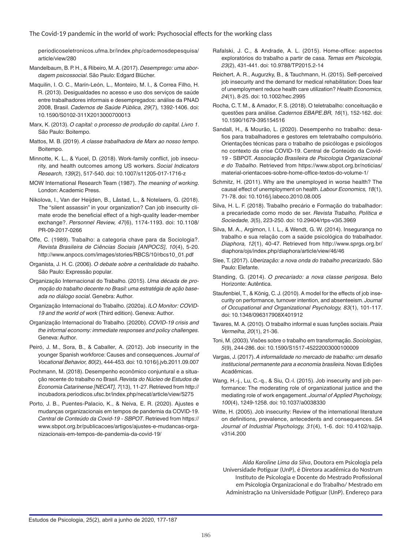periodicoseletronicos.ufma.br/index.php/cadernosdepesquisa/ article/view/280

- Mandelbaum, B. P. H., & Ribeiro, M. A. (2017). *Desemprego: uma abordagem psicossocial*. São Paulo: Edgard Blücher.
- Maquilin, I. O. C., Marín-León, L., Monteiro, M. I., & Correa Filho, H. R. (2013). Desigualdades no acesso e uso dos serviços de saúde entre trabalhadores informais e desempregados: análise da PNAD 2008, Brasil. *Cadernos de Saúde Pública, 29*(7), 1392-1406. doi: 10.1590/S0102-311X2013000700013
- Marx, K. (2013). *O capital: o processo de produção do capital. Livro 1*. São Paulo: Boitempo.
- Mattos, M. B. (2019). *A classe trabalhadora de Marx ao nosso tempo*. Boitempo.
- Minnotte, K. L., & Yucel, D. (2018). Work-family conflict, job insecurity, and health outcomes among US workers. *Social Indicators Research, 139*(2), 517-540. doi: 10.1007/s11205-017-1716-z
- MOW International Research Team (1987). *The meaning of working*. London: Academic Press.
- Nikolova, I., Van der Heijden, B., Låstad, L., & Notelaers, G. (2018). The "silent assassin" in your organization? Can job insecurity climate erode the beneficial effect of a high-quality leader-member exchange?. *Personnel Review, 47*(6), 1174-1193. doi: 10.1108/ PR-09-2017-0266
- Offe, C. (1989). Trabalho: a categoria chave para da Sociologia?. *Revista Brasileira de Ciências Sociais [ANPOCS]*, *10*(4), 5-20. http://www.anpocs.com/images/stories/RBCS/10/rbcs10\_01.pdf
- Organista, J. H. C. (2006). *O debate sobre a centralidade do trabalho*. São Paulo: Expressão popular.
- Organização Internacional do Trabalho. (2015). *Uma década de promoção do trabalho decente no Brasil: uma estratégia de ação baseada no diálogo social*. Genebra: Author.
- Organização Internacional do Trabalho. (2020a). *ILO Monitor: COVID-19 and the world of work* (Third edition). Geneva: Author.
- Organização Internacional do Trabalho. (2020b). *COVID-19 crisis and the informal economy: immediate responses and policy challenges*. Geneva: Author.
- Peiró, J. M., Sora, B., & Caballer, A. (2012). Job insecurity in the younger Spanish workforce: Causes and consequences. *Journal of Vocational Behavior, 80*(2), 444-453. doi: 10.1016/j.jvb.2011.09.007
- Pochmann, M. (2018). Desempenho econômico conjuntural e a situação recente do trabalho no Brasil. *Revista do Núcleo de Estudos de Economia Catarinense [NECAT], 7*(13), 11-27. Retrieved from http:// incubadora.periodicos.ufsc.br/index.php/necat/article/view/5275
- Porto, J. B., Puentes-Palacio, K., & Neiva, E. R. (2020). Ajustes e mudanças organizacionais em tempos de pandemia da COVID-19. *Central de Conteúdo da Covid-19 - SBPOT*. Retrieved from https:// www.sbpot.org.br/publicacoes/artigos/ajustes-e-mudancas-organizacionais-em-tempos-de-pandemia-da-covid-19/
- Rafalski, J. C., & Andrade, A. L. (2015). Home-office: aspectos exploratórios do trabalho a partir de casa. *Temas em Psicologia, 23*(2), 431-441. doi: 10.9788/TP2015.2-14
- Reichert, A. R., Augurzky, B., & Tauchmann, H. (2015). Self-perceived job insecurity and the demand for medical rehabilitation: Does fear of unemployment reduce health care utilization? *Health Economics, 24*(1), 8-25. doi: 10.1002/hec.2995
- Rocha, C. T. M., & Amador, F. S. (2018). O teletrabalho: conceituação e questões para análise. *Cadernos EBAPE.BR, 16*(1), 152-162. doi: 10.1590/1679-395154516
- Sandall, H., & Mourão, L. (2020). Desempenho no trabalho: desafios para trabalhadores e gestores em teletrabalho compulsório. Orientações técnicas para o trabalho de psicólogas e psicólogos no contexto da crise COVID-19. Central de Conteúdo da Covid-19 - SBPOT. *Associação Brasileira de Psicologia Organizacional e do Trabalho*. Retrieved from https://www.sbpot.org.br/noticias/ material-orientacoes-sobre-home-office-textos-do-volume-1/
- Schmitz, H. (2011). Why are the unemployed in worse health? The causal effect of unemployment on health. *Labour Economics, 18*(1), 71-78. doi: 10.1016/j.labeco.2010.08.005
- Silva, H. L. F. (2018). Trabalho precário e Formação do trabalhador: a precariedade como modo de ser. *Revista Trabalho, Política e Sociedade, 3*(5), 223-250. doi: 10.29404/rtps-v3i5.3969
- Silva, M. A., Argimon, I. I. L., & Wendt, G. W. (2014). Insegurança no trabalho e sua relação com a saúde psicológica do trabalhador. *Diaphora, 12*(1), 40-47. Retrieved from http://www.sprgs.org.br/ diaphora/ojs/index.php/diaphora/article/view/46/46
- Slee, T. (2017). *Uberização: a nova onda do trabalho precarizado*. São Paulo: Elefante.
- Standing, G. (2014). *O precariado: a nova classe perigosa*. Belo Horizonte: Autêntica.
- Staufenbiel, T., & König, C. J. (2010). A model for the effects of job insecurity on performance, turnover intention, and absenteeism. *Journal of Occupational and Organizational Psychology, 83*(1), 101-117. doi: 10.1348/096317908X401912
- Tavares, M. A. (2010). O trabalho informal e suas funções sociais. *Praia Vermelha, 20*(1), 21-36.
- Toni, M. (2003). Visões sobre o trabalho em transformação. *Sociologias*, *5*(9), 244-286. doi: 10.1590/S1517-45222003000100009
- Vargas, J. (2017). *A informalidade no mercado de trabalho: um desafio institucional permanente para a economia brasileira*. Novas Edições Acadêmicas.
- Wang, H.-j., Lu, C.-q., & Siu, O.-l. (2015). Job insecurity and job performance: The moderating role of organizational justice and the mediating role of work engagement. *Journal of Applied Psychology, 100*(4), 1249-1258. doi: 10.1037/a0038330
- Witte, H. (2005). Job insecurity: Review of the international literature on definitions, prevalence, antecedents and consequences. *SA Journal of Industrial Psychology, 31*(4), 1-6. doi: 10.4102/sajip. v31i4.200

*Alda Karoline Lima da Silva*, Doutora em Psicologia pela Universidade Potiguar (UnP), é Diretora acadêmica do Nostrum Instituto de Psicologia e Docente do Mestrado Profissional em Psicologia Organizacional e do Trabalho/ Mestrado em Administração na Universidade Potiguar (UnP). Endereço para